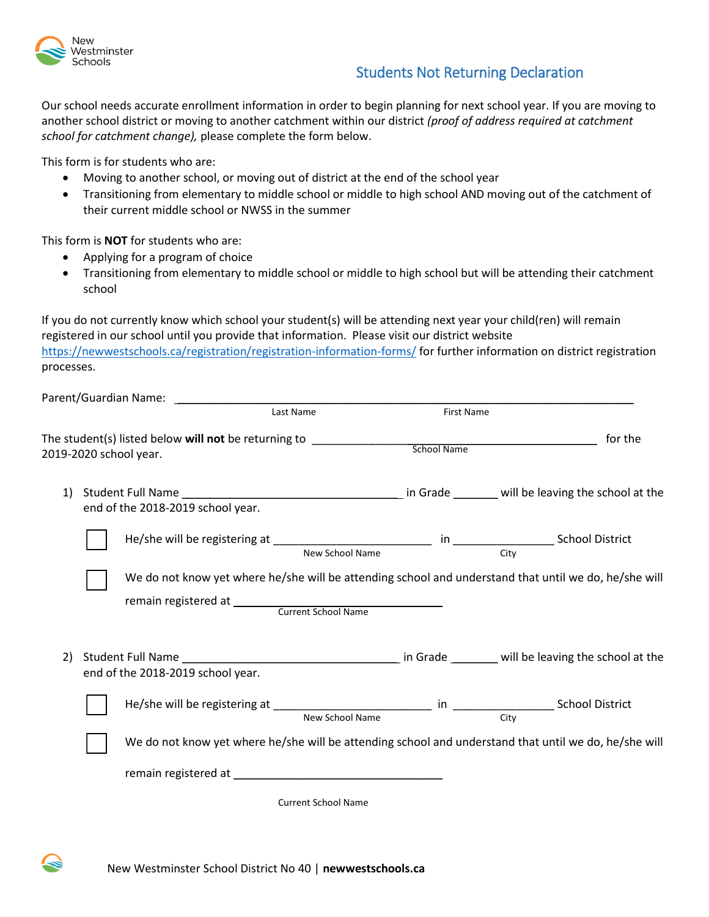

## Students Not Returning Declaration

Our school needs accurate enrollment information in order to begin planning for next school year. If you are moving to another school district or moving to another catchment within our district *(proof of address required at catchment school for catchment change),* please complete the form below.

This form is for students who are:

- Moving to another school, or moving out of district at the end of the school year
- Transitioning from elementary to middle school or middle to high school AND moving out of the catchment of their current middle school or NWSS in the summer

This form is **NOT** for students who are:

- Applying for a program of choice
- Transitioning from elementary to middle school or middle to high school but will be attending their catchment school

If you do not currently know which school your student(s) will be attending next year your child(ren) will remain registered in our school until you provide that information. Please visit our district website <https://newwestschools.ca/registration/registration-information-forms/> for further information on district registration processes.

|    | Parent/Guardian Name: Namerical Controller and the control                                            |                            |                   |                                                                                                       |  |  |
|----|-------------------------------------------------------------------------------------------------------|----------------------------|-------------------|-------------------------------------------------------------------------------------------------------|--|--|
|    |                                                                                                       | Last Name                  | <b>First Name</b> |                                                                                                       |  |  |
|    | 2019-2020 school year.                                                                                |                            |                   | for the                                                                                               |  |  |
| 1) | end of the 2018-2019 school year.                                                                     |                            |                   |                                                                                                       |  |  |
|    |                                                                                                       | New School Name            |                   | City                                                                                                  |  |  |
|    |                                                                                                       |                            |                   | We do not know yet where he/she will be attending school and understand that until we do, he/she will |  |  |
| 2) | end of the 2018-2019 school year.                                                                     |                            |                   |                                                                                                       |  |  |
|    |                                                                                                       |                            |                   |                                                                                                       |  |  |
|    | We do not know yet where he/she will be attending school and understand that until we do, he/she will |                            |                   |                                                                                                       |  |  |
|    |                                                                                                       |                            |                   |                                                                                                       |  |  |
|    |                                                                                                       | <b>Current School Name</b> |                   |                                                                                                       |  |  |